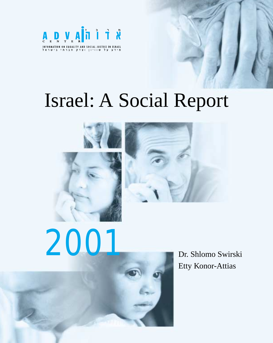

## Israel: A Social Report

*Israel: A Social Report (2001)* **1** *If*  $\mathbf{X} = \mathbf{X} \mathbf{X}$  *<b>1 If*  $\mathbf{X} = \mathbf{X} \mathbf{X}$ 





# 2001

Dr. Shlomo Swirski Etty Konor-Attias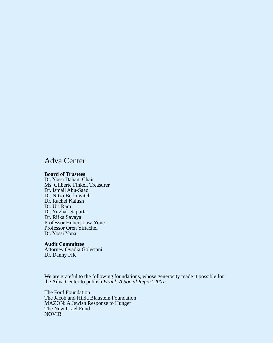#### Adva Center

#### **Board of Trustees**

Dr. Yossi Dahan, Chair Ms. Gilberte Finkel, Treasurer Dr. Ismail Abu-Saad Dr. Nitza Berkowitch Dr. Rachel Kalush Dr. Uri Ram Dr. Yitzhak Saporta Dr. Rifka Savaya Professor Hubert Law-Yone Professor Oren Yiftachel Dr. Yossi Yona

#### **Audit Committee**

Attorney Ovadia Golestani Dr. Danny Filc

We are grateful to the following foundations, whose generosity made it possible for the Adva Center to publish *Israel: A Social Report 2001*:

The Ford Foundation The Jacob and Hilda Blaustein Foundation MAZON: A Jewish Response to Hunger The New Israel Fund NOVIB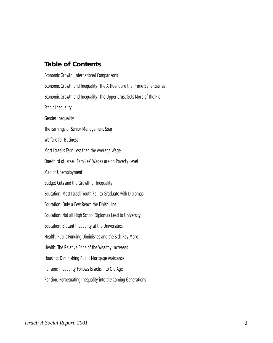#### **Table of Contents**

Economic Growth: International Comparisons Economic Growth and Inequality: The Affluent are the Prime Beneficiaries Economic Growth and Inequality: The Upper Crust Gets More of the Pie Ethnic Inequality Gender Inequality The Earnings of Senior Management Soar Welfare for Business Most Israelis Earn Less than the Average Wage One-third of Israeli Families' Wages are on Poverty Level Map of Unemployment Budget Cuts and the Growth of Inequality Education: Most Israeli Youth Fail to Graduate with Diplomas Education: Only a Few Reach the Finish Line Education: Not all High School Diplomas Lead to University Education: Blatant Inequality at the Universities Health: Public Funding Diminishes and the Sick Pay More Health: The Relative Edge of the Wealthy Increases Housing: Diminishing Public Mortgage Assistance Pension: Inequality Follows Israelis into Old Age Pension: Perpetuating Inequality into the Coming Generations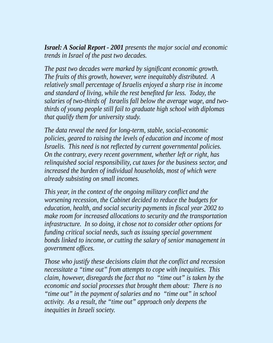*Israel: A Social Report - 2001 presents the major social and economic trends in Israel of the past two decades.*

*The past two decades were marked by significant economic growth. The fruits of this growth, however, were inequitably distributed. A relatively small percentage of Israelis enjoyed a sharp rise in income and standard of living, while the rest benefited far less. Today, the salaries of two-thirds of Israelis fall below the average wage, and twothirds of young people still fail to graduate high school with diplomas that qualify them for university study.*

*The data reveal the need for long-term, stable, social-economic policies, geared to raising the levels of education and income of most Israelis. This need is not reflected by current governmental policies. On the contrary, every recent government, whether left or right, has relinquished social responsibility, cut taxes for the business sector, and increased the burden of individual households, most of which were already subsisting on small incomes.*

*This year, in the context of the ongoing military conflict and the worsening recession, the Cabinet decided to reduce the budgets for education, health, and social security payments in fiscal year 2002 to make room for increased allocations to security and the transportation infrastructure. In so doing, it chose not to consider other options for funding critical social needs, such as issuing special government bonds linked to income, or cutting the salary of senior management in government offices.*

*Those who justify these decisions claim that the conflict and recession necessitate a "time out" from attempts to cope with inequities. This claim, however, disregards the fact that no "time out" is taken by the economic and social processes that brought them about: There is no "time out" in the payment of salaries and no "time out" in school activity. As a result, the "time out" approach only deepens the inequities in Israeli society.*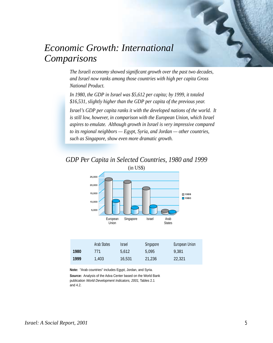

## *Economic Growth: International Comparisons*

*The Israeli economy showed significant growth over the past two decades, and Israel now ranks among those countries with high per capita Gross National Product.*

*In 1980, the GDP in Israel was \$5,612 per capita; by 1999, it totaled \$16,531, slightly higher than the GDP per capita of the previous year.*

*Israel's GDP per capita ranks it with the developed nations of the world. It is still low, however, in comparison with the European Union, which Israel aspires to emulate. Although growth in Israel is very impressive compared to its regional neighbors — Egypt, Syria, and Jordan — other countries, such as Singapore, show even more dramatic growth.*

#### *GDP Per Capita in Selected Countries, 1980 and 1999* (in US\$)



|      | Arab States | <i><b>Israel</b></i> | Singapore | European Union |
|------|-------------|----------------------|-----------|----------------|
| 1980 | 771         | 5.612                | 5.095     | 9.381          |
| 1999 | 1.403       | 16,531               | 21.236    | 22,321         |

**Note:** "Arab countries" includes Egypt, Jordan, and Syria.

**Source:** Analysis of the Adva Center based on the World Bank publication World Development Indicators, 2001, Tables 2.1 and 4.2.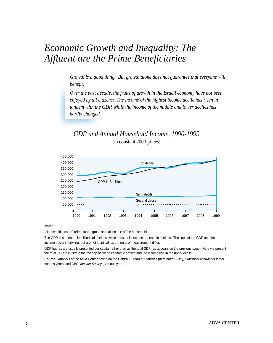## *Economic Growth and Inequality: The Affluent are the Prime Beneficiaries*

*Growth is a good thing. But growth alone does not guarantee that everyone will benefit.*

*Over the past decade, the fruits of growth in the Israeli economy have not been enjoyed by all citizens: The income of the highest income decile has risen in tandem with the GDP, while the income of the middle and lower deciles has hardly changed.*

#### *GDP and Annual Household Income, 1990-1999* (in constant 2000 prices)



#### **Notes:**

"Household income" refers to the gross annual income of the household.

The GDP is presented in millions of shekels, while household income appears in shekels. The lines of the GDP and the top income decile intertwine, but are not identical, as the units of measurement differ.

GDP figures are usually presented per capita, rather than as the total GDP (as appears on the previous page). Here we present the total GDP to illustrate the overlap between economic growth and the income rise in the upper decile.

Source: Analysis of the Adva Center based on the Central Bureau of Statistics (hereinafter CBS), Statistical Abstract of Israel, various years; and CBS, Income Surveys, various years.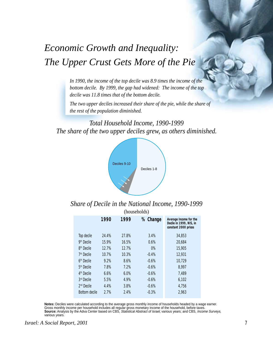## *Economic Growth and Inequality: The Upper Crust Gets More of the Pie*

*In 1990, the income of the top decile was 8.9 times the income of the bottom decile. By 1999, the gap had widened: The income of the top decile was 11.8 times that of the bottom decile.*

*The two upper deciles increased their share of the pie, while the share of the rest of the population diminished.*

*Total Household Income, 1990-1999 The share of the two upper deciles grew, as others diminished.*



*Share of Decile in the National Income, 1990-1999*

|                        |       |       | (households) |                                                                           |
|------------------------|-------|-------|--------------|---------------------------------------------------------------------------|
|                        | 1990  | 1999  | % Change     | Average Income for the<br>Decile in 1999, NIS, in<br>constant 2000 prices |
| Top decile             | 24.4% | 27.8% | 3.4%         | 34,853                                                                    |
| 9 <sup>th</sup> Decile | 15.9% | 16.5% | 0.6%         | 20,684                                                                    |
| 8 <sup>th</sup> Decile | 12.7% | 12.7% | $0\%$        | 15,905                                                                    |
| 7 <sup>th</sup> Decile | 10.7% | 10.3% | $-0.4%$      | 12,931                                                                    |
| 6 <sup>th</sup> Decile | 9.2%  | 8.6%  | $-0.6%$      | 10,729                                                                    |
| 5 <sup>th</sup> Decile | 7.8%  | 7.2%  | $-0.6%$      | 8,997                                                                     |
| 4 <sup>th</sup> Decile | 6.6%  | 6.0%  | $-0.6%$      | 7,489                                                                     |
| 3rd Decile             | 5.5%  | 4.9%  | $-0.6%$      | 6,102                                                                     |
| $2nd$ Decile           | 4.4%  | 3.8%  | $-0.6%$      | 4,756                                                                     |
| <b>Bottom decile</b>   | 2.7%  | 2.4%  | $-0.3%$      | 2,963                                                                     |

**Notes:** Deciles were calculated according to the average gross monthly income of households headed by a wage earner. Gross monthly income per household includes all regular gross monetary income of the household, before taxes. **Source:** Analysis by the Adva Center based on CBS, Statistical Abstract of Israel, various years; and CBS, Income Surveys, various years.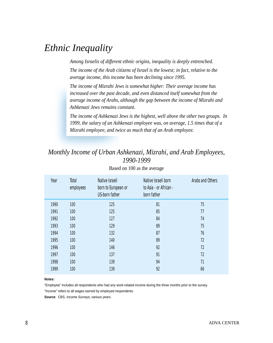## *Ethnic Inequality*

*Among Israelis of different ethnic origins, inequality is deeply entrenched. The income of the Arab citizens of Israel is the lowest; in fact, relative to the average income, this income has been declining since 1995.*

*The income of Mizrahi Jews is somewhat higher: Their average income has increased over the past decade, and even distanced itself somewhat from the average income of Arabs, although the gap between the income of Mizrahi and Ashkenazi Jews remains constant.*

*The income of Ashkenazi Jews is the highest, well above the other two groups. In 1999, the salary of an Ashkenazi employee was, on average, 1.5 times that of a Mizrahi employee, and twice as much that of an Arab employee.*

#### *Monthly Income of Urban Ashkenazi, Mizrahi, and Arab Employees, 1990-1999*

| Year | Total<br>employees | Native Israeli<br>born to European or<br><b>US-born father</b> | Native Israeli born<br>to Asia - or African -<br>born father | Arabs and Others |
|------|--------------------|----------------------------------------------------------------|--------------------------------------------------------------|------------------|
| 1990 | 100                | 125                                                            | 81                                                           | 75               |
| 1991 | 100                | 125                                                            | 85                                                           | 77               |
| 1992 | 100                | 127                                                            | 84                                                           | 74               |
| 1993 | 100                | 129                                                            | 89                                                           | 75               |
| 1994 | 100                | 132                                                            | 87                                                           | 76               |
| 1995 | 100                | 140                                                            | 89                                                           | 72               |
| 1996 | 100                | 146                                                            | 92                                                           | 72               |
| 1997 | 100                | 137                                                            | 91                                                           | 72               |
| 1998 | 100                | 139                                                            | 94                                                           | 71               |
| 1999 | 100                | 139                                                            | 92                                                           | 66               |

Based on 100 as the average

#### **Notes:**

"Employee" includes all respondents who had any work-related income during the three months prior to the survey. "Income" refers to all wages earned by employed respondents.

**Source**: CBS, Income Surveys, various years.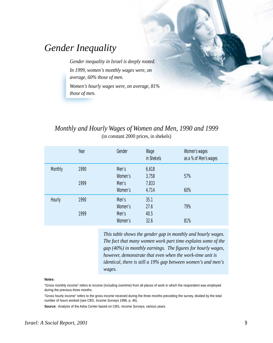## *Gender Inequality*

*Gender inequality in Israel is deeply rooted. In 1999, women's monthly wages were, on average, 60% those of men.*

*Women's hourly wages were, on average, 81% those of men.*

#### *Monthly and Hourly Wages of Women and Men, 1990 and 1999* (in constant 2000 prices, in shekels)

|                | Year | Gender  | Wage<br>in Shekels | Women's wages<br>as a % of Men's wages |
|----------------|------|---------|--------------------|----------------------------------------|
| <b>Monthly</b> | 1990 | Men's   | 6,618              |                                        |
|                |      | Women's | 3,758              | 57%                                    |
|                | 1999 | Men's   | 7,833              |                                        |
|                |      | Women's | 4,714              | 60%                                    |
| Hourly         | 1990 | Men's   | 35.1               |                                        |
|                |      | Women's | 27.6               | 79%                                    |
|                | 1999 | Men's   | 40.5               |                                        |
|                |      | Women's | 32.6               | 81%                                    |

*This table shows the gender gap in monthly and hourly wages. The fact that many women work part time explains some of the gap (40%) in monthly earnings. The figures for hourly wages, however, demonstrate that even when the work-time unit is identical, there is still a 19% gap between women's and men's wages.*

#### **Notes:**

"Gross monthly income" refers to income (including overtime) from all places of work in which the respondent was employed during the previous three months.

"Gross hourly income" refers to the gross income received during the three months preceding the survey, divided by the total number of hours worked (see CBS, Income Surveys 1996, p. 46).

**Source:** Analysis of the Adva Center based on CBS, Income Surveys, various years.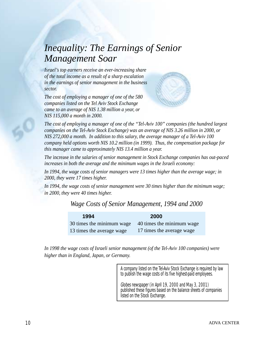## *Inequality: The Earnings of Senior Management Soar*

*Israel's top earners receive an ever-increasing share of the total income as a result of a sharp escalation in the earnings of senior management in the business sector.*

*The cost of employing a manager of one of the 580 companies listed on the Tel Aviv Stock Exchange came to an average of NIS 1.38 million a year, or NIS 115,000 a month in 2000.*



*The cost of employing a manager of one of the "Tel-Aviv 100" companies (the hundred largest companies on the Tel-Aviv Stock Exchange) was an average of NIS 3.26 million in 2000, or NIS 272,000 a month. In addition to this salary, the average manager of a Tel-Aviv 100 company held options worth NIS 10.2 million (in 1999). Thus, the compensation package for this manager came to approximately NIS 13.4 million a year.*

*The* increase *in the salaries of senior management in Stock Exchange companies has out-paced increases in both the average and the minimum wages in the Israeli economy:*

*In 1994, the wage costs of senior managers were 13 times higher than the average wage; in 2000, they were 17 times higher.*

*In 1994, the wage costs of senior management were 30 times higher than the minimum wage; in 2000, they were 40 times higher.*

#### *Wage Costs of Senior Management, 1994 and 2000*

| 1994                      | <b>2000</b>               |
|---------------------------|---------------------------|
| 30 times the minimum wage | 40 times the minimum wage |
| 13 times the average wage | 17 times the average wage |

*In 1998 the wage costs of Israeli senior management (of the Tel-Aviv 100 companies) were higher than in England, Japan, or Germany.*

> A company listed on the Tel-Aviv Stock Exchange is required by law to publish the wage costs of its five highest-paid employees.

Globes newspaper (in April 19, 2000 and May 3, 2001) published these figures based on the balance sheets of companies listed on the Stock Exchange.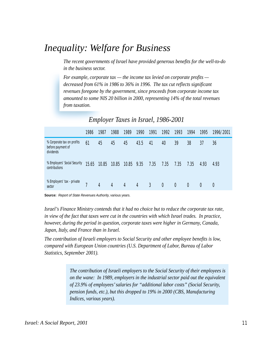## *Inequality: Welfare for Business*

*The recent governments of Israel have provided generous benefits for the well-to-do in the business sector.*

*For example, corporate tax — the income tax levied on corporate profits decreased from 61% in 1986 to 36% in 1996. The tax cut reflects significant revenues foregone by the government, since proceeds from corporate income tax amounted to some NIS 20 billion in 2000, representing 14% of the total revenues from taxation.*

|                                                              | 1986  | 1987  | 1988  | 1989       | 1990 | 1991 | 1992             | 1993 | 1994             | 1995     | 1996/2001 |
|--------------------------------------------------------------|-------|-------|-------|------------|------|------|------------------|------|------------------|----------|-----------|
| % Corporate tax on profits<br>before payment of<br>dividends | 61    | 45    | 45    | 45         | 43.5 | 41   | 40               | 39   | 38               | 37       | 36        |
| % Employers' Social Security<br>contributions                | 15.65 | 10.85 | 10.85 | 10.85 9.35 |      | 7.35 | 7.35             | 7.35 | 7.35             | 4.93     | 4.93      |
| % Employers' tax - private<br>sector                         |       | 4     | 4     | 4          | 4    | 3    | $\boldsymbol{0}$ | 0    | $\boldsymbol{0}$ | $\theta$ | 0         |

#### *Employer Taxes in Israel, 1986-2001*

**Source:** Report of State Revenues Authority, various years.

*Israel's Finance Ministry contends that it had no choice but to reduce the corporate tax rate, in view of the fact that taxes were cut in the countries with which Israel trades. In practice, however, during the period in question, corporate taxes were higher in Germany, Canada, Japan, Italy, and France than in Israel.*

*The contribution of Israeli employers to Social Security and other employee benefits is low, compared with European Union countries (U.S. Department of Labor, Bureau of Labor Statistics, September 2001).*

> *The contribution of Israeli employers to the Social Security of their employees is on the wane: In 1989, employers in the industrial sector paid out the equivalent of 23.9% of employees' salaries for "additional labor costs" (Social Security, pension funds, etc.), but this dropped to 19% in 2000 (CBS, Manufacturing Indices, various years).*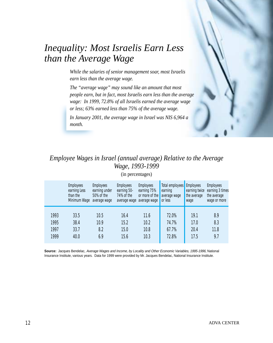

## *Inequality: Most Israelis Earn Less than the Average Wage*

*While the salaries of senior management soar, most Israelis earn less than the average wage.*

*The "average wage" may sound like an amount that most people earn, but in fact, most Israelis earn less than the average wage: In 1999, 72.8% of all Israelis earned the average wage or less; 63% earned less than 75% of the average wage. In January 2001, the average wage in Israel was NIS 6,964 a month.*

## *Employee Wages in Israel (annual average) Relative to the Average Wage, 1993-1999*

(in percentages)

|      | <b>Employees</b><br>earning Less<br>than the<br>Minimum Wage | <b>Employees</b><br>earning under<br>50% of the<br>average wage | <b>Employees</b><br>earning 50-<br>74% of the | <b>Employees</b><br>earning 75%<br>or more of the<br>average wage average wage | Total employees<br>earning<br>average wage<br>or less | <b>Employees</b><br>earning twice<br>the average<br>wage | <b>Employees</b><br>earning 3 times<br>the average<br>wage or more |
|------|--------------------------------------------------------------|-----------------------------------------------------------------|-----------------------------------------------|--------------------------------------------------------------------------------|-------------------------------------------------------|----------------------------------------------------------|--------------------------------------------------------------------|
| 1993 | 33.5                                                         | 10.5                                                            | 16.4                                          | 11.6                                                                           | 72.0%                                                 | 19.1                                                     | 8.9                                                                |
| 1995 | 38.4                                                         | 10.9                                                            | 15.2                                          | 10.2                                                                           | 74.7%                                                 | 17.0                                                     | 8.3                                                                |
| 1997 | 33.7                                                         | 8.2                                                             | 15.0                                          | 10.8                                                                           | 67.7%                                                 | 20.4                                                     | 11.8                                                               |
| 1999 | 40.0                                                         | 6.9                                                             | 15.6                                          | 10.3                                                                           | 72.8%                                                 | 17.5                                                     | 9.7                                                                |

**Source:** Jacques Bendelac, Average Wages and Income, by Locality and Other Economic Variables, 1995-1996, National Insurance Institute, various years. Data for 1999 were provided by Mr. Jacques Bendelac, National Insurance Institute.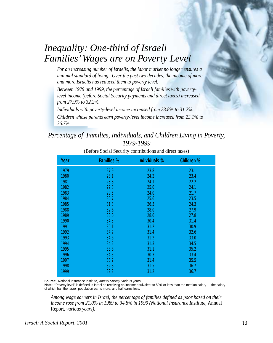## *Inequality: One-third of Israeli Families' Wages are on Poverty Level*

*For an increasing number of Israelis, the labor market no longer ensures a minimal standard of living. Over the past two decades, the income of more and more Israelis has reduced them to poverty level.*

*Between 1979 and 1999, the percentage of Israeli families with povertylevel income (before Social Security payments and direct taxes) increased from 27.9% to 32.2%.*

*Individuals with poverty-level income increased from 23.8% to 31.2%. Children whose parents earn poverty-level income increased from 23.1% to 36.7%.*

#### *Percentage of Families, Individuals, and Children Living in Poverty, 1979-1999*

| Year | <b>Families %</b> | <b>Individuals %</b> | <b>Children %</b> |
|------|-------------------|----------------------|-------------------|
| 1979 | 27.9              | 23.8                 | 23.1              |
| 1980 | 28.1              | 24.2                 | 23.4              |
| 1981 | 28.8              | 24.1                 | 22.2              |
| 1982 | 29.8              | 25.0                 | 24.1              |
| 1983 | 29.5              | 24.0                 | 21.7              |
| 1984 | 30.7              | 25.6                 | 23.5              |
| 1985 | 31.3              | 26.3                 | 24.3              |
| 1988 | 32.6              | 28.0                 | 27.9              |
| 1989 | 33.0              | 28.0                 | 27.8              |
| 1990 | 34.3              | 30.4                 | 31.4              |
| 1991 | 35.1              | 31.2                 | 30.9              |
| 1992 | 34.7              | 31.4                 | 32.6              |
| 1993 | 34.6              | 31.2                 | 33.0              |
| 1994 | 34.2              | 31.3                 | 34.5              |
| 1995 | 33.8              | 31.1                 | 35.2              |
| 1996 | 34.3              | 30.3                 | 33.4              |
| 1997 | 33.2              | 31.4                 | 35.5              |
| 1998 | 32.8              | 31.5                 | 36.7              |
| 1999 | 32.2              | 31.2                 | 36.7              |

(Before Social Security contributions and direct taxes)

Source: National Insurance Institute, Annual Survey, various years.

**Note:** "Poverty level" is defined in Israel as receiving an income equivalent to 50% or less than the median salary — the salary of which half the Israeli population earns more, and half earns less.

*Among wage earners in Israel, the percentage of families defined as poor based on their income rose from 21.0% in 1989 to 34.8% in 1999 (National Insurance Institute,* Annual Report*, various years).*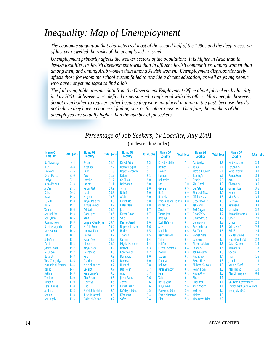## *Inequality: Map of Unemployment*

*The economic stagnation that characterized most of the second half of the 1990s and the deep recession of last year swelled the ranks of the unemployed in Israel.*

*Unemployment primarily affects the weaker sectors of the population: It is higher in Arab than in Jewish localities, in Jewish development towns than in affluent Jewish communities, among women than among men, and among Arab women than among Jewish women. Unemployment disproportionately affects those for whom the school system failed to provide a decent education, as well as young people who have not yet managed to find a job.*

*The following table presents data from the Government Employment Office about jobseekers by locality in July 2001. Jobseekers are defined as persons who registered with this office. Many people, however, do not even bother to register, either because they were not placed in a job in the past, because they do not believe they have a chance of finding one, or for other reasons. Therefore, the numbers of the unemployed are actually higher than the number of jobseekers.*

| Name Of<br><b>Locality</b> | <b>Total Jobs</b> | <b>Name Of</b><br><b>Locality</b> | <b>Total Jobs</b> | <b>Name Of</b><br><b>Locality</b> | <b>Total Jobs</b> | <b>Name Of</b><br><b>Locality</b> | <b>Total Jobs</b> | Name Of<br><b>Locality</b> | <b>Total Jobs</b> | <b>Name Of</b><br><b>Locality</b> | <b>Total Jobs</b> |
|----------------------------|-------------------|-----------------------------------|-------------------|-----------------------------------|-------------------|-----------------------------------|-------------------|----------------------------|-------------------|-----------------------------------|-------------------|
| Nat'l Average              | 6.4               | <b>Shlomi</b>                     | 12.4              | <b>Kiryat Arba</b>                | 9.2               | <b>Kiryat Motzkin</b>             | 7.4               | Pardessiya                 | 5.3               | <b>Hod Hasharon</b>               | 3.8               |
| 'llut                      | 26.8              | <b>Mashhed</b>                    | 12.2              | <b>Hatzor Haglilit</b>            | 9.1               | <b>Nesher</b>                     | 7.3               | Yahud                      | 5.1               | <b>Jerusalem</b>                  | 3.8               |
| <b>Ein Mahel</b>           | 23.6              | Bi'ne                             | 11.9              | <b>Upper Nazareth</b>             | 9.1               | Yavneh                            | 7.1               | Ma'ale Adumim              | 5.1               | <b>Neve Efrayim</b>               | 3.8               |
| <b>Kafar Manda</b>         | 23.0              | Acre                              | 11.7              | <b>Katzrin</b>                    | 9.1               | <b>Fureidis</b>                   | 7.1               | <b>Tsur Yig'al</b>         | 5.1               | <b>Ramat Gan</b>                  | 3.8               |
| Laqiye                     | 22.1              | 'Arrabe                           | 11.7              | Or Akiva                          | 9.0               | <b>Rekhasim</b>                   | 7.1               | <b>Oranit</b>              | 5.0               | <b>Azor</b>                       | 3.6               |
| <b>Bir al-Maksur</b>       | 21.3              | 'Ar'ara                           | 11.1              | <b>Beit Shean</b>                 | 9.0               | Lod                               | 7.0               | <b>Abu Ghosh</b>           | 4.9               | Givatayim                         | 3.6               |
| Aro'er                     | 21.1              | <b>Kiryat Gat</b>                 | 10.9              | Tur'an                            | 9.0               | Gedera                            | 6.9               | <b>Buk'ata</b>             | 4.9               | Ganei Tikva                       | 3.6               |
| <b>Kabul</b>               | 20.8              | <b>Iksal</b>                      | 10.8              | <b>Nahef</b>                      | 9.0               | Haifa                             | 6.9               | Sha'arei Tikva             | 4.9               | <b>Holon</b>                      | 3.5               |
| 'Assam                     | 19.8              | <b>Mughar</b>                     | 10.8              | Afula                             | 9.0               | <b>Nahariya</b>                   | 6.9               | <b>Alfei Menashe</b>       | 4.8               | <b>Kfar Saba</b>                  | 3.5               |
| <b>Kuseife</b>             | 19.8              | <b>Kiryat Malakhi</b>             | 10.8              | <b>Kiryat Ata</b>                 | 9.0               | Pardes Hanna-Karkur               | 6.8               | <b>Upper Modi'in</b>       | 4.8               | <b>Herzliya</b>                   | 3.4               |
| Hura                       | 19.7              | <b>Mitzpe Ramon</b>               | 10.7              | Kafar Qara'                       | 8.8               | Or Yehuda                         | 6.7               | <b>Tel Mond</b>            | 4.8               | Ra'anana                          | 3.3               |
| <b>Tamra</b>               | 19.6              | <b>Ashdod</b>                     | 10.6              | <b>Jatt</b>                       | 8.7               | <b>Zarzir</b>                     | 6.7               | <b>Beit Dagan</b>          | 4.7               | Lehavim                           | 3.2               |
| Abu Rabi'at                | 19.3              | Daburiyya                         | 10.5              | <b>Kiryat Ekron</b>               | 8.7               | <b>Yanuh-Jatt</b>                 | 6.7               | <b>Givat Ze'ev</b>         | 4.7               | <b>Ramat Hasharon</b>             | 3.0               |
| <b>Abu-Orinat</b>          | 18.6              | Arad                              | 10.5              | <b>Shibli</b>                     | 8.7               | <b>Netanya</b>                    | 6.7               | <b>Givat Shmuel</b>        | 4.7               | <b>Omer</b>                       | 2.9               |
| <b>Bosmat Tivon</b>        | 18.3              | <b>Baga al-Gharbiyye</b>          | 10.4              | Deir al-Assad                     | 8.6               | Rosh Ha'ayin                      | 6.7               | <b>Qalansuwa</b>           | 4.7               | <b>Efrata</b>                     | 2.8               |
| <b>Bu'eine-Nujeidat</b>    | 17.5              | Ma'ale Eron                       | 10.4              | <b>Upper Yokneam</b>              | 8.6               | Ariel                             | 6.6               | <b>Even Yehuda</b>         | 4.6               | <b>Kokhav Ya'ir</b>               | 2.6               |
| <b>Deir Hanna</b>          | 16.3              | Umm al-Fahm                       | 10.3              | <b>Hadera</b>                     | 8.5               | Ramleh                            | 6.6               | <b>Bat Yam</b>             | 4.6               | <b>Beit El</b>                    | 2.4               |
| Yafi'a                     | 16.1              | <b>Basma</b>                      | 10.2              | <b>Tiberias</b>                   | 8.5               | <b>Beit Shemesh</b>               | 6.4               | <b>Ramat Yishai</b>        | 4.6               | <b>Majdal Shams</b>               | 2.3               |
| Shfar'am                   | 15.4              | <b>Kafar Yassif</b>               | 10.2              | <b>Carmiel</b>                    | 8.4               | Yirka                             | 6.4               | Caesaria                   | 4.5               | Maccabim Re'ut                    | 2.2               |
| l'billin                   | 15.2              | 'Illebun                          | 10.0              | Migdal Ha'emek                    | 8.4               | Peki'in                           | 6.4               | <b>Rishon Letzion</b>      | 4.5               | <b>Kafar Qasem</b>                | 1.8               |
| Jdeida-Makr                | 15.2              | <b>Kiryat Yam</b>                 | 9.9               | <b>Netivot</b>                    | 8.3               | <b>Kiryat Shemona</b>             | 6.4               | <b>Shoham</b>              | 4.5               | <b>Ramat Efal</b>                 | 1.8               |
| <b>Tel Sheva</b>           | 15.2              | <b>Beersheba</b>                  | 9.8               | <b>Gan Yavneh</b>                 | 8.2               | Modi'in                           | 6.3               | <b>Tel Aviv-Jaffa</b>      | 4.5               | <b>Savion</b>                     | 1.7               |
| <b>Nazareth</b>            | 14.8              | <b>Rina</b>                       | 9.8               | <b>Bene Ayish</b>                 | 8.0               | <b>Tzoran</b>                     | 6.3               | <b>Kiryat Tivon</b>        | 4.4               | <b>Tira</b>                       | 1.6               |
| Tuba-Zangariya             | 14.6              | <b>Ofakim</b>                     | 9.7               | <b>Rammah</b>                     | 8.0               | Kadima                            | 6.2               | <b>Beitar Elite</b>        | 4.3               | <b>Jeljulia</b>                   | 1.3               |
| Mas'udin al-Azazma         | 14.4              | Majd al-Kurum                     | 9.7               | <b>Hurfeish</b>                   | 7.8               | <b>Rehovot</b>                    | 6.2               | Zikhron Ya'akov            | 4.3               | <b>Karmei Yosef</b>               | 1.2               |
| <b>Rahat</b>               | 14.4              | <b>Sederot</b>                    | 9.7               | <b>Bat Hefer</b>                  | 7.7               | Be'er Ya'akov                     | 6.1               | <b>Petah Tikva</b>         | 4.3               | <b>Kfar Habad</b>                 | 1.0               |
| <b>Sakhnin</b>             | 14.3              | Kisra Smay'a                      | 9.6               | <b>Atlit</b>                      | 7.7               | <b>Julis</b>                      | 6.1               | <b>Kiryat Ono</b>          | 4.3               | <b>Kfar Shmaryahu</b>             | 0.4               |
| <b>Yeruham</b>             | 14.0              | <b>Abu Sinan</b>                  | 9.5               | Jisr a-Zarka                      | 7.6               | <b>Taibe</b>                      | 6.1               | <b>Elkana</b>              | 4.1               |                                   |                   |
| <b>Dimona</b>              | 13.9              | 'Usifiyya                         | 9.5               | <b>Zemer</b>                      | 7.6               | <b>Nes Tsiyona</b>                | 5.7               | <b>Bnei Brak</b>           | 4.1               | <b>Source: Government</b>         |                   |
| <b>Kafar Kanna</b>         | 13.0              | Elad                              | 9.4               | <b>Kiryat Bialik</b>              | 7.6               | <b>Binyamina</b>                  | 5.6               | <b>Kfar Vradim</b>         | 4.1               | <b>Employment Service, data</b>   |                   |
| <b>Ashkelon</b>            | 12.8              | Ma'alot Tarshiha                  | 9.4               | Ka'abiye-Tabash                   | 7.5               | <b>Mazkeret Batia</b>             | 5.6               | <b>Beit Jann</b>           | 4.0               | from July 2001.                   |                   |
| Sha'ab                     | 12.8              | <b>Tirat Hacarmel</b>             | 9.3               | <b>Kfar Yona</b>                  | 7.4               | <b>Karnei Shomron</b>             | 5.4               | <b>Meitar</b>              | 4.0               |                                   |                   |
| <b>Abu Rigeik</b>          | 12.5              | <b>Daliat al-Carmel</b>           | 9.2               | <b>Safed</b>                      | 7.4               | Eilat                             | 5.3               | <b>Mevaseret Tzion</b>     | 3.9               |                                   |                   |
|                            |                   |                                   |                   |                                   |                   |                                   |                   |                            |                   |                                   |                   |

#### *Percentage of Job Seekers, by Locality, July 2001* (in descending order)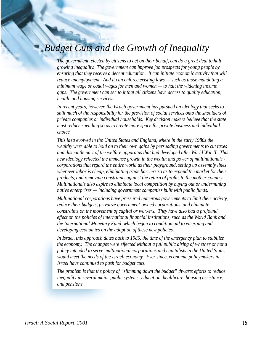## *Budget Cuts and the Growth of Inequality*

*The government, elected by citizens to act on their behalf, can do a great deal to halt growing inequality. The government can improve job prospects for young people by ensuring that they receive a decent education. It can initiate economic activity that will reduce unemployment. And it can enforce existing laws — such as those mandating a minimum wage or equal wages for men and women — to halt the widening income gaps. The government can see to it that all citizens have access to quality education, health, and housing services.*

*In recent years, however, the Israeli government has pursued an ideology that seeks to shift much of the responsibility for the provision of social services onto the shoulders of private companies or individual households. Key decision makers believe that the state must reduce spending so as to create more space for private business and individual choice.*

*This idea evolved in the United States and England, where in the early 1980s the wealthy were able to hold on to their own gains by persuading governments to cut taxes and dismantle part of the welfare apparatus that had developed after World War II. This new ideology reflected the immense growth in the wealth and power of multinationals corporations that regard the entire world as their playground, setting up assembly lines wherever labor is cheap, eliminating trade barriers so as to expand the market for their products, and removing constraints against the return of profits to the mother country. Multinationals also aspire to eliminate local competition by buying out or undermining native enterprises — including government companies built with public funds.*

*Multinational corporations have pressured numerous governments to limit their activity, reduce their budgets, privatize government-owned corporations, and eliminate constraints on the movement of capital or workers. They have also had a profound effect on the policies of international financial institutions, such as the World Bank and the International Monetary Fund, which began to condition aid to emerging and developing economies on the adoption of these new policies.*

*In Israel, this approach dates back to 1985, the time of the emergency plan to stabilize the economy. The changes were effected without a full public airing of whether or not a policy intended to serve multinational corporations and capitalists in the United States would meet the needs of the Israeli economy. Ever since, economic policymakers in Israel have continued to push for budget cuts.*

*The problem is that the policy of "slimming down the budget" thwarts efforts to reduce inequality in several major public systems: education, healthcare, housing assistance, and pensions.*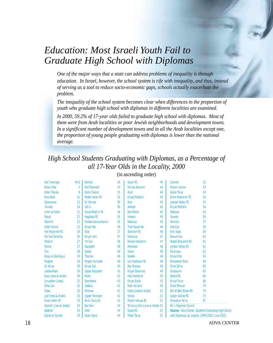## *Education: Most Israeli Youth Fail to Graduate High School with Diplomas*

*One of the major ways that a state can address problems of inequality is through education. In Israel, however, the school system is rife with inequality, and thus, instead of serving as a tool to reduce socio-economic gaps, schools actually exacerbate the problem.*

*The inequality of the school system becomes clear when differences in the proportion of youth who graduate high school with diplomas in different localities are examined.*

*In 2000, 59.2% of 17-year olds failed to graduate high school with diplomas. Most of them were from Arab localities or poor Jewish neighborhoods and development towns. In a significant number of development towns and in all the Arab localities except one, the proportion of young people graduating with diplomas is lower than the national average.*

## *High School Students Graduating with Diplomas, as a Percentage of all 17-Year Olds in the Locality, 2000*

| Nat'l Average           | 40.8 | <b>Netivot</b>          | 34 | <b>Gezer RC</b>                  | 44 | Carmiel                     | 53                                                          |
|-------------------------|------|-------------------------|----|----------------------------------|----|-----------------------------|-------------------------------------------------------------|
| <b>Beitar Elite</b>     | 5    | <b>Beit Shemesh</b>     | 35 | Ma'ale Adumim                    | 44 | <b>Rishon Letzion</b>       | 53                                                          |
| <b>Kafar Manda</b>      | 8    | <b>Kafar Oasem</b>      | 35 | Arad                             | 44 | Ganei Tikva                 | 54                                                          |
| <b>Bnei Brak</b>        | 11   | <b>Mateh Asher RC</b>   | 35 | <b>Kiryat Malakhi</b>            | 44 | <b>Drom Hasharon RC</b>     | 54                                                          |
| Qalansuwa               | 13   | Or Yehuda               | 36 | Azor                             | 45 | <b>Jezreel Valley RC</b>    | 54                                                          |
| 'Arrabe                 | 18   | Yafi'a                  | 36 | <b>Ashdod</b>                    | 45 | <b>Kiryat Motzkin</b>       | 54                                                          |
| Umm al-Fahm             | 21   | <b>Hevel Modi'in RC</b> | 36 | <b>Beit Shean</b>                | 45 | <b>Rehovot</b>              | 54                                                          |
| Rahat                   | 21   | <b>Haqilboa RC</b>      | 36 | <b>Hadera</b>                    | 45 | Yavneh                      | 56                                                          |
| <b>Sakhnin</b>          | 22   | Pardes Hanna-Karkur     | 36 | <b>Netanya</b>                   | 45 | <b>Shoham</b>               | 57                                                          |
| <b>Kafar Kanna</b>      | 23   | <b>Kiryat Ata</b>       | 36 | <b>Tirat Hacarmel</b>            | 46 | <b>Herzliya</b>             | 59                                                          |
| <b>Hof Hacarmel RC</b>  | 26   | <b>Eilat</b>            | 37 | <b>Shomron RC</b>                | 46 | <b>Kfar Saba</b>            | 59                                                          |
| Ma'alot Tarshiha        | 26   | <b>Kiryat Yam</b>       | 37 | <b>Nahariya</b>                  | 47 | <b>Ramat Gan</b>            | 60                                                          |
| <b>Ofakim</b>           | 27   | 'Ar'ara                 | 38 | <b>Ramat Hasharon</b>            | 47 | <b>Mateh Binyamin RC</b>    | 61                                                          |
| <b>Tamra</b>            | 27   | <b>Nazareth</b>         | 39 | <b>Ashkelon</b>                  | 48 | <b>Jordan Valley RC</b>     | 61                                                          |
| Tira                    | 28   | Safed                   | 39 | <b>Holon</b>                     | 48 | Ra'anana                    | 61                                                          |
| Baga al-Gharbiyye       | 29   | <b>Tiberias</b>         | 40 | <b>Nesher</b>                    | 48 | <b>Kiryat Ono</b>           | 63                                                          |
| <b>Mughar</b>           | 29   | <b>Migdal Ha'emek</b>   | 40 | Lev Hasharon RC                  | 49 | <b>Mevaseret Tzion</b>      | 64                                                          |
| Or Akiva                | 30   | <b>Kiryat Gat</b>       | 40 | <b>Nes Tsiyona</b>               | 49 | Givat Ze'ev                 | 65                                                          |
| Jdeida-Makr             | 30   | <b>Upper Nazareth</b>   | 41 | <b>Kiryat Shemona</b>            | 49 | Givatayim                   | 65                                                          |
| Acre (Jews & Arabs)     | 30   | Afula                   | 41 | <b>Hod Hasharon</b>              | 50 | <b>Eshkol RC</b>            | 66                                                          |
| Jerusalem (Jews)        | 31   | <b>Beersheba</b>        | 42 | <b>Kiryat Bialik</b>             | 50 | <b>Kiryat Tivon</b>         | 68                                                          |
| Shfar'am                | 32   | Gedera                  | 42 | Rosh Ha'ayin                     | 50 | <b>Givat Shmuel</b>         | 74                                                          |
| <b>Taibe</b>            | 33   | <b>Dimona</b>           | 42 | Haifa (Jews & Arabs)             | 51 | <b>Bik'at Beit Shean RC</b> | 74                                                          |
| Lod (Jews & Arabs)      | 33   | <b>Upper Yokneam</b>    | 42 | Yahud                            | 51 | <b>Upper Galilee RC</b>     | 75                                                          |
| <b>Emek Hefer RC</b>    | 33   | Be'er Tuvia RC          | 42 | <b>Mateh Yehuda RC</b>           | 51 | <b>Maccabim Re'ut</b>       | 87                                                          |
| Ramleh (Jews & Arabs)   | 33   | <b>Bat Yam</b>          | 43 | Tel Aviv-Jaffa (Jews & Arabs) 51 |    | $RC = Regional Council$     |                                                             |
| <b>Sederot</b>          | 33   | Ariel                   | 44 | <b>Golan RC</b>                  | 52 |                             | <b>Source: Adva Center, Students Graduating High School</b> |
| <b>Daliat al-Carmel</b> | 34   | Kafar Qara'             | 44 | <b>Petah Tikva</b>               | 52 |                             | with Diplomas, by Locality, 1999-2000, June 2001.           |

(in ascending order)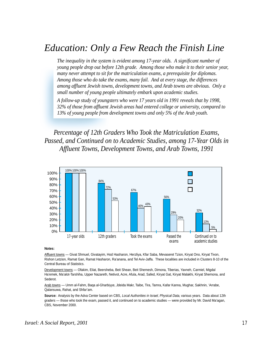## *Education: Only a Few Reach the Finish Line*

*The inequality in the system is evident among 17-year olds. A significant number of young people drop out before 12th grade. Among those who make it to their senior year, many never attempt to sit for the matriculation exams, a prerequisite for diplomas. Among those who do take the exams, many fail. And at every stage, the differences among affluent Jewish towns, development towns, and Arab towns are obvious. Only a small number of young people ultimately embark upon academic studies.*

*A follow-up study of youngsters who were 17 years old in 1991 reveals that by 1998, 32% of those from affluent Jewish areas had entered college or university, compared to 13% of young people from development towns and only 5% of the Arab youth.*

*Percentage of 12th Graders Who Took the Matriculation Exams, Passed, and Continued on to Academic Studies, among 17-Year Olds in Affluent Towns, Development Towns, and Arab Towns, 1991*



#### **Notes:**

Affluent towns — Givat Shmuel, Givatayim, Hod Hasharon, Herzliya, Kfar Saba, Mevaseret Tzion, Kiryat Ono, Kiryat Tivon, Rishon Letzion, Ramat Gan, Ramat Hasharon, Ra'anana, and Tel Aviv-Jaffa. These localities are included in Clusters 8-10 of the Central Bureau of Statistics.

Development towns — Ofakim, Eilat, Beersheba, Beit Shean, Beit Shemesh, Dimona, Tiberias, Yavneh, Carmiel, Migdal Ha'emek, Ma'alot-Tarshiha, Upper Nazareth, Netivot, Acre, Afula, Arad, Safed, Kiryat Gat, Kiryat Malakhi, Kiryat Shemona, and Sederot.

Arab towns — Umm al-Fahm, Baqa al-Gharbiyye, Jdeida Makr, Taibe, Tira, Tamra, Kafar Kanna, Mughar, Sakhnin, 'Arrabe, Qalansuwa, Rahat, and Shfar'am.

**Source:** Analysis by the Adva Center based on CBS, Local Authorities in Israel, Physical Data, various years. Data about 12th graders — those who took the exam, passed it, and continued on to academic studies — were provided by Mr. David Ma'agan, CBS, November 2000.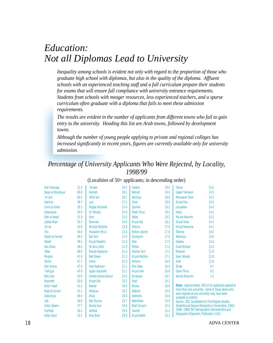## *Education: Not all Diplomas Lead to University*

*Inequality among schools is evident not only with regard to the proportion of those who graduate high school with diplomas, but also in the quality of the diploma. Affluent schools with an experienced teaching staff and a full curriculum prepare their students for exams that will ensure full compliance with university entrance requirements. Students from schools with meager resources, less experienced teachers, and a sparse curriculum often graduate with a diploma that fails to meet these admission requirements.*

*The results are evident in the number of applicants from different towns who fail to gain entry to the university. Heading this list are Arab towns, followed by development towns.*

*Although the number of young people applying to private and regional colleges has increased significantly in recent years, figures are currently available only for university admission.*

#### *Percentage of University Applicants Who Were Rejected, by Locality, 1998/99*

| <b>Nat'l Average</b>    | 21.5 | 'Arrabe               | 30.5 | <b>Hadera</b>         | 19.0 | Yahud                                             | 15.0                                                  |  |  |
|-------------------------|------|-----------------------|------|-----------------------|------|---------------------------------------------------|-------------------------------------------------------|--|--|
| Baga al-Gharbiyye       | 60.8 | <b>Ramleh</b>         | 30.1 | <b>Netivot</b>        | 19.0 | <b>Upper Yokneam</b>                              | 14.5                                                  |  |  |
|                         |      |                       | 28.7 |                       | 18.6 | <b>Mevaseret Tzion</b>                            |                                                       |  |  |
| 'Ar'ara                 | 60.5 | Shfar'am              |      | <b>Herzliya</b>       |      |                                                   | 14.5                                                  |  |  |
| <b>Sakhnin</b>          | 58.7 | Lod                   | 27.5 | <b>Omer</b>           | 18.6 | <b>Kiryat Ono</b>                                 | 14.5                                                  |  |  |
| Umm al-Fahm             | 58.5 | Migdal Ha'emek        | 27.4 | Carmiel               | 18.2 | <b>Jerusalem</b>                                  | 14.4                                                  |  |  |
| <b>Qalansuwa</b>        | 56.9 | Or Yehuda             | 25.4 | <b>Petah Tikva</b>    | 18.2 | Haifa                                             | 14.3                                                  |  |  |
| Deir al-Assad           | 51.9 | Acre                  | 25.3 | <b>Safed</b>          | 18.2 | Ma'ale Adumim                                     | 14.3                                                  |  |  |
| Jdeida Makr             | 50.7 | Rammah                | 24.6 | <b>Kiryat Ata</b>     | 18.2 | <b>Kiryat Tivon</b>                               | 14.3                                                  |  |  |
| Tur'an                  | 50.0 | Ma'alot-Tarshiha      | 23.8 | <b>Ofakim</b>         | 17.9 | <b>Kiryat Shemona</b>                             | 14.1                                                  |  |  |
| Tira                    | 50.0 | Maccabim Re'ut        | 22.6 | <b>Rishon Letzion</b> | 17.8 | <b>Tiberias</b>                                   | 14.0                                                  |  |  |
| <b>Daliat al-Carmel</b> | 49.3 | <b>Bat Yam</b>        | 22.3 | Givatayim             | 17.6 | <b>Nahariya</b>                                   | 13.8                                                  |  |  |
| <b>Nahef</b>            | 49.1 | <b>Kiryat Malakhi</b> | 21.9 | Eilat                 | 17.5 | Gedera                                            | 13.4                                                  |  |  |
| <b>Abu Sinan</b>        | 48.5 | <b>Tel Aviv-Jaffa</b> | 21.9 | <b>Meitar</b>         | 17.2 | <b>Givat Shmuel</b>                               | 12.4                                                  |  |  |
| <b>Taibe</b>            | 48.0 | <b>Ramat Hasharon</b> | 21.4 | Kokhav Ya'ir          | 17.1 | <b>Rehovot</b>                                    | 11.9                                                  |  |  |
| <b>Mughar</b>           | 47.8 | <b>Beit Shean</b>     | 21.3 | <b>Kiryat Motzkin</b> | 17.1 | <b>Even Yehuda</b>                                | 11.8                                                  |  |  |
| <b>Tamra</b>            | 47.7 | <b>Holon</b>          | 21.3 | <b>Dimona</b>         | 16.9 | Ariel                                             | 11.8                                                  |  |  |
| <b>Kfar Kanna</b>       | 47.0 | <b>Hod Hasharon</b>   | 21.1 | <b>Kfar Saba</b>      | 16.9 | <b>Efrata</b>                                     | 9.7                                                   |  |  |
| 'Usifiyya               | 43.9 | <b>Upper Nazareth</b> | 21.1 | <b>Kiryat Yam</b>     | 16.8 | Ganei Tikva                                       | 9.2                                                   |  |  |
| <b>Beit Jann</b>        | 42.6 | Pardes Hanna-Karkur   | 20.5 | Ra'anana              | 16.7 | <b>Karnei Shomron</b>                             | 1.5                                                   |  |  |
| <b>Nazareth</b>         | 42.6 | <b>Kiryat Gat</b>     | 20.5 | Arad                  | 16.2 |                                                   |                                                       |  |  |
| <b>Kafar Yassif</b>     | 41.2 | <b>Nesher</b>         | 20.4 | <b>Elkana</b>         | 16.0 |                                                   | Note: Approximately 29% of all applicants applied to  |  |  |
| Majd al-Kurum           | 41.1 | <b>Netanya</b>        | 20.3 | <b>Sederot</b>        | 16.0 |                                                   | more than one university. Some of those above who     |  |  |
| <b>Daburiyya</b>        | 40.4 | Afula                 | 20.0 | <b>Ashkelon</b>       | 15.6 | accepted at another.                              | were rejected at one university may have been         |  |  |
| <b>Jatt</b>             | 38.0 | <b>Nes Tsiyona</b>    | 19.7 | <b>Beersheba</b>      | 15.4 | Source: CBS, Candidates for First Degree Studies, |                                                       |  |  |
| <b>Kafar Qasem</b>      | 37.7 | <b>Ramat Gan</b>      | 19.4 | Rosh Ha'ayin          | 15.4 |                                                   | Students and Degree Recipients in Universities, 1995/ |  |  |
| <b>Hurfeish</b>         | 36.2 | <b>Ashdod</b>         | 19.0 | Yavneh                | 15.2 |                                                   | 1996-1998/99: Demographic Characteristics and         |  |  |
| Kafar Qara'             | 32.1 | <b>Bnei Brak</b>      | 19.0 | <b>Kiryat Bialik</b>  | 15.2 | Geographic Dispersion, Publication 1154.          |                                                       |  |  |

#### (Localities of 50+ applicants; in descending order)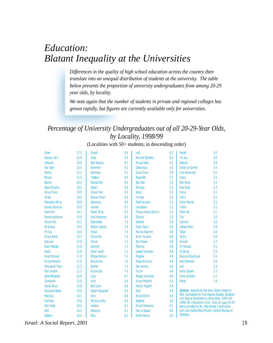## *Education: Blatant Inequality at the Universities*

*Differences in the quality of high school education across the country then translate into an unequal distribution of students at the university. The table below presents the proportion of university undergraduates from among 20-29 year olds, by locality.*

*We note again that the number of students in private and regional colleges has grown rapidly, but figures are currently available only for universities.*

#### *Percentage of University Undergraduates out of all 20-29-Year Olds, by Locality, 1998/99*

(Localities with 50+ students; in descending order)

| <b>Omer</b>            | 37.5 | <b>Oranit</b>         | 9.6 | <b>Jatt</b>            | 6.2 | <b>Nahef</b>                                        | 4.0                                                                                              |
|------------------------|------|-----------------------|-----|------------------------|-----|-----------------------------------------------------|--------------------------------------------------------------------------------------------------|
| <b>Kokhav Ya'ir</b>    | 25.8 | Arad                  | 9.5 | Ma'alot Tarshiha       | 6.2 | 'Ar'ara                                             | 4.0                                                                                              |
| Lehavim                | 24.8 | <b>Nes Tsiyona</b>    | 9.3 | <b>Kiryat Arba</b>     | 6.2 | <b>Netivot</b>                                      | 3.8                                                                                              |
| <b>Har Adar</b>        | 23.4 | Rammah                | 9.2 | Daburiyya              | 6.0 | <b>Daliat al-Carmel</b>                             | 3.5                                                                                              |
| <b>Meitar</b>          | 22.1 | <b>Ashkelon</b>       | 9.1 | <b>Givat Ze'ev</b>     | 5.9 | <b>Tirat Hacarmel</b>                               | 3.5                                                                                              |
| <b>Elkana</b>          | 21.5 | 'Illebun              | 9.0 | <b>Nazareth</b>        | 5.7 | Kabul                                               | 3.5                                                                                              |
| <b>Savion</b>          | 20.3 | <b>Ramat Gan</b>      | 9.0 | <b>Bat Yam</b>         | 5.5 | <b>Abu Sinan</b>                                    | 3.4                                                                                              |
| <b>Neve Efrayim</b>    | 19.2 | <b>Safed</b>          | 8.9 | <b>Dimona</b>          | 5.5 | <b>Bnei Brak</b>                                    | 3.3                                                                                              |
| <b>Kiryat Tivon</b>    | 18.9 | <b>Kiryat Yam</b>     | 8.9 | Afula                  | 5.5 | Yarka                                               | 3.3                                                                                              |
| <b>Efrata</b>          | 18.5 | <b>Ramat Yishai</b>   | 8.9 | 'Arrabe                | 5.5 | Yafi'a                                              | 3.2                                                                                              |
| Maccabim Re'ut         | 16.9 | <b>Nahariya</b>       | 8.8 | Rosh Ha'ayin           | 5.2 | <b>Kafar Manda</b>                                  | 3.2                                                                                              |
| <b>Karnei Shomron</b>  | 16.9 | Yavneh                | 8.7 | <b>Jerusalem</b>       | 5.1 | l'billin                                            | 3.1                                                                                              |
| <b>Kedumim</b>         | 14.7 | <b>Petah Tikva</b>    | 8.5 | Pardes Hanna-Karkur    | 5.1 | Shfar'am                                            | 3.1                                                                                              |
| <b>Ramat Hasharon</b>  | 14.6 | <b>Hod Hasharon</b>   | 8.4 | <b>Ofakim</b>          | 5.0 | Tira                                                | 3.0                                                                                              |
| <b>Kiryat Ono</b>      | 14.2 | <b>Beersheba</b>      | 7.9 | <b>Ashdod</b>          | 5.0 | <b>Sakhnin</b>                                      | 3.0                                                                                              |
| Ra'anana               | 14.2 | <b>Rishon Letzion</b> | 7.8 | Kafar Qara'            | 5.0 | <b>Jdeida Makr</b>                                  | 2.9                                                                                              |
| M'iliya                | 14.0 | <b>Holon</b>          | 7.4 | Ma'ale Adumim          | 4.9 | <b>Taibe</b>                                        | 2.8                                                                                              |
| <b>Kiryat Bialik</b>   | 13.3 | <b>Kiryat Ata</b>     | 7.4 | Be'er Ya'akov          | 4.8 | <b>Tamra</b>                                        | 2.8                                                                                              |
| <b>Rehovot</b>         | 12.9 | Yahud                 | 7.3 | <b>Beit Shean</b>      | 4.8 | <b>Ramleh</b>                                       | 2.7                                                                                              |
| <b>Even Yehuda</b>     | 12.6 | <b>Carmiel</b>        | 7.3 | <b>Tiberias</b>        | 4.8 | Or Yehuda                                           | 2.5                                                                                              |
| <b>Haifa</b>           | 12.6 | <b>Kafar Yassif</b>   | 7.2 | <b>Upper Yokneam</b>   | 4.8 | Or Akiva                                            | 2.5                                                                                              |
| <b>Givat Shmuel</b>    | 11.8 | <b>Mitzpe Ramon</b>   | 7.2 | <b>Mughar</b>          | 4.8 | Baqa al-Gharbiyye                                   | 2.4                                                                                              |
| <b>Kiryat Motzkin</b>  | 11.6 | <b>Binyamina</b>      | 7.0 | Majd al-Kurum          | 4.8 | <b>Beit Shemesh</b>                                 | 2.4                                                                                              |
| <b>Mevaseret Tzion</b> | 11.5 | <b>Nesher</b>         | 7.0 | <b>Deir Hanna</b>      | 4.6 | Lod                                                 | 2.4                                                                                              |
| <b>Kfar Vradim</b>     | 11.3 | <b>Kiryat Gat</b>     | 7.0 | Tur'an                 | 4.6 | <b>Kafar Qasem</b>                                  | 2.3                                                                                              |
| <b>Alfei Menashe</b>   | 10.8 | <b>Julis</b>          | 6.7 | Migdal Ha'emek         | 4.6 | Umm al-Fahm                                         | 1.7                                                                                              |
| Givatayim              | 10.8 | Ariel                 | 6.6 | <b>Kiryat Malakhi</b>  | 4.5 | Rahat                                               | 1.4                                                                                              |
| <b>Ganei Tikva</b>     | 10.8 | <b>Beit Jann</b>      | 6.6 | <b>Hatzor Haglilit</b> | 4.4 |                                                     |                                                                                                  |
| <b>Mazkeret Batia</b>  | 10.8 | <b>Upper Nazareth</b> | 6.6 | Azor                   | 4.3 | <b>Source:</b> Analysis by the Adva Center based on |                                                                                                  |
| <b>Herzliya</b>        | 10.7 | Acre                  | 6.6 | <b>Kiryat Ekron</b>    | 4.3 | CBS, Candidates for First Degree Studies, Student   |                                                                                                  |
| <b>Hurfeish</b>        | 10.6 | <b>Tel Aviv-Jaffa</b> | 6.6 | <b>Sederot</b>         | 4.3 |                                                     | and Degree Recipients in Universities, 1995/96-<br>1998/99, Publication 1154. Data for ages 20-2 |
| <b>Kfar Saba</b>       | 10.6 | <b>Hadera</b>         | 6.5 | <b>Kiryat Shemona</b>  | 4.1 | were provided by Ms. Yela Heinel, Construction      |                                                                                                  |
| <b>Atlit</b>           | 10.5 | <b>Netanya</b>        | 6.3 | Deir al-Assad          | 4.0 | and Local Authorities Division, Central Bureau of   |                                                                                                  |
| Gedera                 | 10.4 | <b>Eilat</b>          | 6.2 | <b>Kafar Kanna</b>     | 4.0 | <b>Statistics.</b>                                  |                                                                                                  |

*Israel: A Social Report, 2001 19*

Students

es 20-29<br>Irtion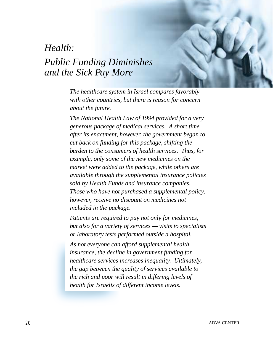## *Health:*

## *Public Funding Diminishes and the Sick Pay More*

*The healthcare system in Israel compares favorably with other countries, but there is reason for concern about the future.*

*The National Health Law of 1994 provided for a very generous package of medical services. A short time after its enactment, however, the government began to cut back on funding for this package, shifting the burden to the consumers of health services. Thus, for example, only some of the new medicines on the market were added to the package, while others are available through the supplemental insurance policies sold by Health Funds and insurance companies. Those who have not purchased a supplemental policy, however, receive no discount on medicines not included in the package.*

*Patients are required to pay not only for medicines, but also for a variety of services — visits to specialists or laboratory tests performed outside a hospital.*

*As not everyone can afford supplemental health insurance, the decline in government funding for healthcare services increases inequality. Ultimately, the gap between the quality of services available to the rich and poor will result in differing levels of health for Israelis of different income levels.*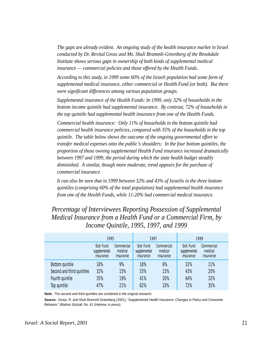*The gaps are already evident. An ongoing study of the health insurance market in Israel conducted by Dr. Revital Gross and Ms. Shuli Brammli-Greenberg of the Brookdale Institute shows serious gaps in ownership of both kinds of supplemental medical insurance — commercial policies and those offered by the Health Funds.*

*According to this study, in 1999 some 60% of the Israeli population had some form of supplemental medical insurance, either commercial or Health Fund (or both). But there were significant differences among various population groups.*

*Supplemental insurance of the Health Funds: In 1999, only 32% of households in the bottom income quintile had supplemental insurance. By contrast, 72% of households in the top quintile had supplemental health insurance from one of the Health Funds.*

*Commercial health insurance: Only 11% of households in the bottom quintile had commercial health insurance policies, compared with 35% of the households in the top quintile. The table below shows the outcome of the ongoing governmental effort to transfer medical expenses onto the public's shoulders: In the four bottom quintiles, the proportion of those owning supplemental Health Fund insurance increased dramatically between 1997 and 1999, the period during which the state health budget steadily diminished. A similar, though more moderate, trend appears for the purchase of commercial insurance.*

*It can also be seen that in 1999 between 32% and 43% of Israelis in the three bottom quintiles (comprising 60% of the total population) had supplemental health insurance from one of the Health Funds, while 11-20% had commercial medical insurance.*

*Percentage of Interviewees Reporting Possession of Supplemental Medical Insurance from a Health Fund or a Commercial Firm, by Income Quintile, 1995, 1997, and 1999*

|                            | 1995                                          |                                    | 1997                                   |                                    | 1999                                          |                                    |  |
|----------------------------|-----------------------------------------------|------------------------------------|----------------------------------------|------------------------------------|-----------------------------------------------|------------------------------------|--|
|                            | <b>Sick Fund</b><br>supplemental<br>insurance | Commercial<br>medical<br>insurance | Sick Fund<br>supplemental<br>insurance | Commercial<br>medical<br>insurance | <b>Sick Fund</b><br>supplemental<br>insurance | Commercial<br>medical<br>insurance |  |
| <b>Bottom quintile</b>     | 18%                                           | 9%                                 | 18%                                    | 6%                                 | 32%                                           | 11%                                |  |
| Second and third quintiles | 32%                                           | 15%                                | 33%                                    | 15%                                | 43%                                           | 20%                                |  |
| Fourth quintile            | 35%                                           | 19%                                | 41%                                    | 20%                                | 64%                                           | 32%                                |  |
| Top quintile               | 47%                                           | 21%                                | 62%                                    | 33%                                | 72%                                           | 35%                                |  |

**Note:** The second and third quintiles are combined in the original research.

**Source:** Gross, R. and Shuli Brammli-Greenberg (2001), "Supplemental Health Insurance: Changes in Policy and Consumer Behavior," Bitahon Sotziali, No. 61 (Hebrew, in press).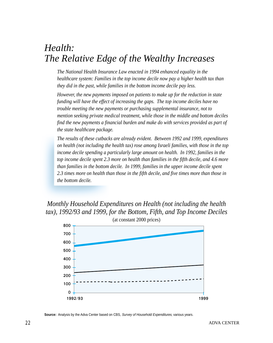## *Health: The Relative Edge of the Wealthy Increases*

*The National Health Insurance Law enacted in 1994 enhanced equality in the healthcare system: Families in the top income decile now pay a higher health tax than they did in the past, while families in the bottom income decile pay less.*

*However, the new payments imposed on patients to make up for the reduction in state funding will have the effect of increasing the gaps. The top income deciles have no trouble meeting the new payments or purchasing supplemental insurance, not to mention seeking private medical treatment, while those in the middle and bottom deciles find the new payments a financial burden and make do with services provided as part of the state healthcare package.*

*The results of these cutbacks are already evident. Between 1992 and 1999, expenditures on health (not including the health tax) rose among Israeli families, with those in the top income decile spending a particularly large amount on health. In 1992, families in the top income decile spent 2.3 more on health than families in the fifth decile, and 4.6 more than families in the bottom decile. In 1999, families in the upper income decile spent 2.3 times more on health than those in the fifth decile, and five times more than those in the bottom decile.*

*Monthly Household Expenditures on Health (not including the health tax), 1992/93 and 1999, for the Bottom, Fifth, and Top Income Deciles*



**Source:** Analysis by the Adva Center based on CBS, Survey of Household Expenditures, various years.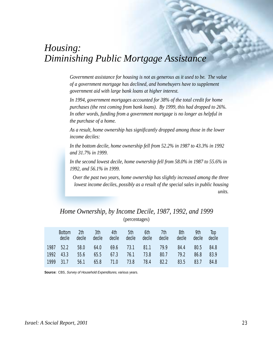## *Housing: Diminishing Public Mortgage Assistance*

*Government assistance for housing is not as generous as it used to be. The value of a government mortgage has declined, and homebuyers have to supplement government aid with large bank loans at higher interest.*

*In 1994, government mortgages accounted for 38% of the total credit for home purchases (the rest coming from bank loans). By 1999, this had dropped to 26%. In other words, funding from a government mortgage is no longer as helpful in the purchase of a home.*

*As a result, home ownership has significantly dropped among those in the lower income deciles:*

*In the bottom decile, home ownership fell from 52.2% in 1987 to 43.3% in 1992 and 31.7% in 1999.*

*In the second lowest decile, home ownership fell from 58.0% in 1987 to 55.6% in 1992, and 56.1% in 1999.*

*Over the past two years, home ownership has slightly increased among the three lowest income deciles, possibly as a result of the special sales in public housing units.*

#### *Home Ownership, by Income Decile, 1987, 1992, and 1999* (percentages)

| <b>Bottom</b><br>decile | 2 <sup>th</sup><br>decile | 3th<br>decile | 4th<br>decile | 5th<br>decile | 6th<br>decile    | 7th<br>decile | 8th<br>decile | 9th<br>decile | Top<br>decile |  |
|-------------------------|---------------------------|---------------|---------------|---------------|------------------|---------------|---------------|---------------|---------------|--|
| 1987 52.2               | 58.0                      | 64.0          |               |               | $69.6$ 73.1 81.1 | 79.9          | 84.4          | 80.5          | 84.8          |  |
| 1992 43.3               | 55.6                      |               | 65.5 67.3     | 76.1          | 73.8             | 80.7          | 79.2          | 86.8          | 83.9          |  |
| 1999 31.7               | 56.1                      | 65.8          | 71.0          | 73.8          | 78.4             | 82.2          | 83.5          | 83.7          | 84.8          |  |

**Source:** CBS, Survey of Household Expenditures, various years.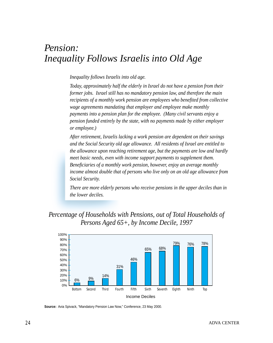## *Pension: Inequality Follows Israelis into Old Age*

#### *Inequality follows Israelis into old age.*

*Today, approximately half the elderly in Israel do not have a pension from their former jobs. Israel still has no mandatory pension law, and therefore the main recipients of a monthly work pension are employees who benefited from collective wage agreements mandating that employer and employee make monthly payments into a pension plan for the employee. (Many civil servants enjoy a pension funded entirely by the state, with no payments made by either employer or employee.)*

*After retirement, Israelis lacking a work pension are dependent on their savings and the Social Security old age allowance. All residents of Israel are entitled to the allowance upon reaching retirement age, but the payments are low and hardly meet basic needs, even with income support payments to supplement them. Beneficiaries of a monthly work pension, however, enjoy an average monthly income almost double that of persons who live only on an old age allowance from Social Security.*

*There are more elderly persons who receive pensions in the upper deciles than in the lower deciles.*

## *Percentage of Households with Pensions, out of Total Households of Persons Aged 65+, by Income Decile, 1997*



**Source:** Avia Spivack, "Mandatory Pension Law Now," Conference, 23 May 2000.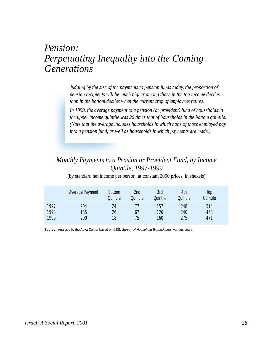## *Pension: Perpetuating Inequality into the Coming Generations*

*Judging by the size of the payments to pension funds today, the proportion of pension recipients will be much higher among those in the top income deciles than in the bottom deciles when the current crop of employees retires.*

*In 1999, the average payment to a pension (or provident) fund of households in the upper income quintile was 26 times that of households in the bottom quintile. (Note that the average includes households in which none of those employed pay into a pension fund, as well as households in which payments are made.)*

## *Monthly Payments to a Pension or Provident Fund, by Income Quintile, 1997-1999*

|      | Average Payment | <b>Bottom</b><br>Quintile | 2nd<br>Quintile | 3rd<br>Quintile | 4th<br>Quintile | Top<br>Quintile |  |
|------|-----------------|---------------------------|-----------------|-----------------|-----------------|-----------------|--|
| 1997 | 204             | 24                        |                 | 157             | 248             | 514             |  |
| 1998 | 185             | 26                        | 67              | 126             | 240             | 468             |  |
| 1999 | 200             | 18                        | 75              | 160             | 275             | 471             |  |

(by standard net income per person, at constant 2000 prices, in shekels)

Source: Analysis by the Adva Center based on CBS, Survey of Household Expenditures, various years.